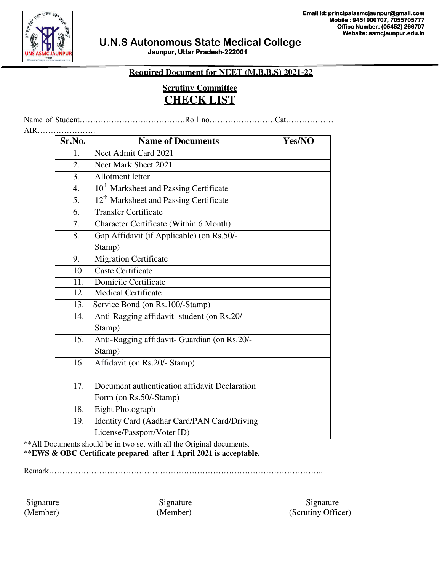

#### **Required Document for NEET (M.B.B.S) 2021-22**

## **Scrutiny Committee CHECK LIST**

Name of Student………………………………….Roll no…………………….Cat………………

AIR…………………. **Sr.No.** Name of Documents Nes/NO 1. Neet Admit Card 2021 2. Neet Mark Sheet 2021 3. Allotment letter 4.  $10^{th}$  Marksheet and Passing Certificate 5. 12<sup>th</sup> Marksheet and Passing Certificate 6. Transfer Certificate 7. Character Certificate (Within 6 Month) 8. Gap Affidavit (if Applicable) (on Rs.50/- Stamp) 9. Migration Certificate 10. Caste Certificate 11. Domicile Certificate 12. Medical Certificate 13. Service Bond (on Rs.100/-Stamp) 14. Anti-Ragging affidavit- student (on Rs.20/- Stamp) 15. Anti-Ragging affidavit- Guardian (on Rs.20/- Stamp) 16. Affidavit (on Rs.20/- Stamp) 17. Document authentication affidavit Declaration Form (on Rs.50/-Stamp) 18. Eight Photograph 19. Identity Card (Aadhar Card/PAN Card/Driving License/Passport/Voter ID)

**\*\***All Documents should be in two set with all the Original documents. **\*\*EWS & OBC Certificate prepared after 1 April 2021 is acceptable.**

Remark…………………………………………………………………………………………..

Signature Signature Signature Signature Signature Signature (Member) (Member) (Scrutiny Officer)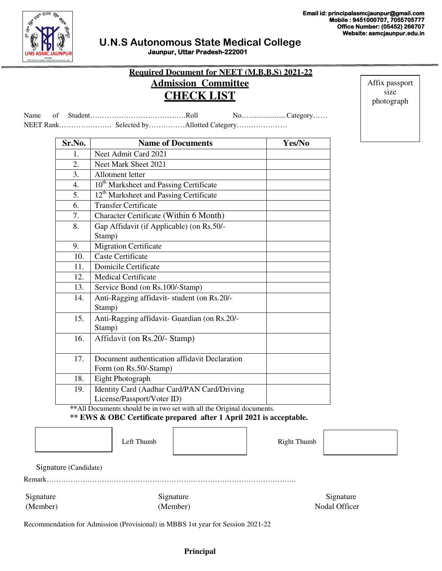Affix passport size photograph



### **U.N.S Autonomous State Medical College Jaunpur, Uttar Pradesh-222001**

| <b>Admission Committee</b><br><b>CHECK LIST</b> | <b>Required Document for NEET (M.B.B.S) 2021-22</b> |
|-------------------------------------------------|-----------------------------------------------------|
|                                                 | $No$ Category                                       |

Name of Student………… NEET Rank…………………. Selected by……………Allotted Category…………………

| Sr.No.           | <b>Name of Documents</b>                           | Yes/No |
|------------------|----------------------------------------------------|--------|
| $\mathbf{1}$ .   | Neet Admit Card 2021                               |        |
| 2.               | Neet Mark Sheet 2021                               |        |
| 3.               | Allotment letter                                   |        |
| $\overline{4}$ . | 10 <sup>th</sup> Marksheet and Passing Certificate |        |
| 5.               | 12 <sup>th</sup> Marksheet and Passing Certificate |        |
| 6.               | <b>Transfer Certificate</b>                        |        |
| 7.               | Character Certificate (Within 6 Month)             |        |
| 8.               | Gap Affidavit (if Applicable) (on Rs.50/-          |        |
|                  | Stamp)                                             |        |
| 9.               | <b>Migration Certificate</b>                       |        |
| 10.              | <b>Caste Certificate</b>                           |        |
| 11.              | Domicile Certificate                               |        |
| 12.              | <b>Medical Certificate</b>                         |        |
| 13.              | Service Bond (on Rs.100/-Stamp)                    |        |
| 14.              | Anti-Ragging affidavit-student (on Rs.20/-         |        |
|                  | Stamp)                                             |        |
| 15.              | Anti-Ragging affidavit- Guardian (on Rs.20/-       |        |
|                  | Stamp)                                             |        |
| 16.              | Affidavit (on Rs.20/- Stamp)                       |        |
|                  | Document authentication affidavit Declaration      |        |
| 17.              |                                                    |        |
| 18.              | Form (on Rs.50/-Stamp)                             |        |
|                  | Eight Photograph                                   |        |
| 19.              | Identity Card (Aadhar Card/PAN Card/Driving        |        |
|                  | License/Passport/Voter ID)                         |        |

**\*\***All Documents should be in two set with all the Original documents.

#### **\*\* EWS & OBC Certificate prepared after 1 April 2021 is acceptable.**

Left Thumb  $\qquad$  Right Thumb

Remark…………………………………………………………………………………………...

Signature Signature Signature Signature Signature Signature Signature Signature (Member) (Member) (Member) Nodal Officer

Recommendation for Admission (Provisional) in MBBS 1st year for Session 2021-22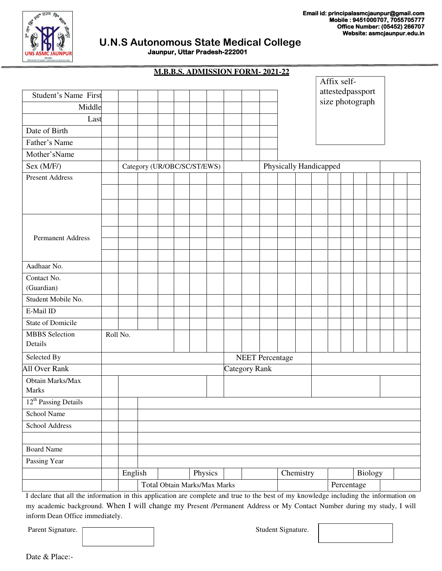

| <b>M.B.B.S. ADMISSION FORM-2021-22</b> |
|----------------------------------------|

| attestedpassport<br>size photograph<br>Middle<br>Last<br>Date of Birth<br>Father's Name<br>Mother'sName<br>Sex (M/F/)<br>Physically Handicapped<br>Category (UR/OBC/SC/ST/EWS)<br><b>Present Address</b><br><b>Permanent Address</b><br>Aadhaar No.<br>Contact No.<br>(Guardian)<br>Student Mobile No.<br>E-Mail ID<br><b>State of Domicile</b><br><b>MBBS</b> Selection<br>Roll No.<br>Details<br>Selected By<br><b>NEET</b> Percentage<br><b>All Over Rank</b><br><b>Category Rank</b><br>Obtain Marks/Max<br>Marks<br>$12th$ Passing Details<br>School Name<br>School Address<br><b>Board Name</b><br>Passing Year<br>English<br>Physics<br>Chemistry<br>Biology<br>Total Obtain Marks/Max Marks<br>Percentage |                      |  |  |  |  |  |  | Affix self- |  |  |  |
|-------------------------------------------------------------------------------------------------------------------------------------------------------------------------------------------------------------------------------------------------------------------------------------------------------------------------------------------------------------------------------------------------------------------------------------------------------------------------------------------------------------------------------------------------------------------------------------------------------------------------------------------------------------------------------------------------------------------|----------------------|--|--|--|--|--|--|-------------|--|--|--|
|                                                                                                                                                                                                                                                                                                                                                                                                                                                                                                                                                                                                                                                                                                                   | Student's Name First |  |  |  |  |  |  |             |  |  |  |
|                                                                                                                                                                                                                                                                                                                                                                                                                                                                                                                                                                                                                                                                                                                   |                      |  |  |  |  |  |  |             |  |  |  |
|                                                                                                                                                                                                                                                                                                                                                                                                                                                                                                                                                                                                                                                                                                                   |                      |  |  |  |  |  |  |             |  |  |  |
|                                                                                                                                                                                                                                                                                                                                                                                                                                                                                                                                                                                                                                                                                                                   |                      |  |  |  |  |  |  |             |  |  |  |
|                                                                                                                                                                                                                                                                                                                                                                                                                                                                                                                                                                                                                                                                                                                   |                      |  |  |  |  |  |  |             |  |  |  |
|                                                                                                                                                                                                                                                                                                                                                                                                                                                                                                                                                                                                                                                                                                                   |                      |  |  |  |  |  |  |             |  |  |  |
|                                                                                                                                                                                                                                                                                                                                                                                                                                                                                                                                                                                                                                                                                                                   |                      |  |  |  |  |  |  |             |  |  |  |
|                                                                                                                                                                                                                                                                                                                                                                                                                                                                                                                                                                                                                                                                                                                   |                      |  |  |  |  |  |  |             |  |  |  |
|                                                                                                                                                                                                                                                                                                                                                                                                                                                                                                                                                                                                                                                                                                                   |                      |  |  |  |  |  |  |             |  |  |  |
|                                                                                                                                                                                                                                                                                                                                                                                                                                                                                                                                                                                                                                                                                                                   |                      |  |  |  |  |  |  |             |  |  |  |
|                                                                                                                                                                                                                                                                                                                                                                                                                                                                                                                                                                                                                                                                                                                   |                      |  |  |  |  |  |  |             |  |  |  |
|                                                                                                                                                                                                                                                                                                                                                                                                                                                                                                                                                                                                                                                                                                                   |                      |  |  |  |  |  |  |             |  |  |  |
|                                                                                                                                                                                                                                                                                                                                                                                                                                                                                                                                                                                                                                                                                                                   |                      |  |  |  |  |  |  |             |  |  |  |
|                                                                                                                                                                                                                                                                                                                                                                                                                                                                                                                                                                                                                                                                                                                   |                      |  |  |  |  |  |  |             |  |  |  |
|                                                                                                                                                                                                                                                                                                                                                                                                                                                                                                                                                                                                                                                                                                                   |                      |  |  |  |  |  |  |             |  |  |  |
|                                                                                                                                                                                                                                                                                                                                                                                                                                                                                                                                                                                                                                                                                                                   |                      |  |  |  |  |  |  |             |  |  |  |
|                                                                                                                                                                                                                                                                                                                                                                                                                                                                                                                                                                                                                                                                                                                   |                      |  |  |  |  |  |  |             |  |  |  |
|                                                                                                                                                                                                                                                                                                                                                                                                                                                                                                                                                                                                                                                                                                                   |                      |  |  |  |  |  |  |             |  |  |  |
|                                                                                                                                                                                                                                                                                                                                                                                                                                                                                                                                                                                                                                                                                                                   |                      |  |  |  |  |  |  |             |  |  |  |
|                                                                                                                                                                                                                                                                                                                                                                                                                                                                                                                                                                                                                                                                                                                   |                      |  |  |  |  |  |  |             |  |  |  |
|                                                                                                                                                                                                                                                                                                                                                                                                                                                                                                                                                                                                                                                                                                                   |                      |  |  |  |  |  |  |             |  |  |  |
|                                                                                                                                                                                                                                                                                                                                                                                                                                                                                                                                                                                                                                                                                                                   |                      |  |  |  |  |  |  |             |  |  |  |
|                                                                                                                                                                                                                                                                                                                                                                                                                                                                                                                                                                                                                                                                                                                   |                      |  |  |  |  |  |  |             |  |  |  |
|                                                                                                                                                                                                                                                                                                                                                                                                                                                                                                                                                                                                                                                                                                                   |                      |  |  |  |  |  |  |             |  |  |  |
|                                                                                                                                                                                                                                                                                                                                                                                                                                                                                                                                                                                                                                                                                                                   |                      |  |  |  |  |  |  |             |  |  |  |
|                                                                                                                                                                                                                                                                                                                                                                                                                                                                                                                                                                                                                                                                                                                   |                      |  |  |  |  |  |  |             |  |  |  |
|                                                                                                                                                                                                                                                                                                                                                                                                                                                                                                                                                                                                                                                                                                                   |                      |  |  |  |  |  |  |             |  |  |  |
|                                                                                                                                                                                                                                                                                                                                                                                                                                                                                                                                                                                                                                                                                                                   |                      |  |  |  |  |  |  |             |  |  |  |
|                                                                                                                                                                                                                                                                                                                                                                                                                                                                                                                                                                                                                                                                                                                   |                      |  |  |  |  |  |  |             |  |  |  |
|                                                                                                                                                                                                                                                                                                                                                                                                                                                                                                                                                                                                                                                                                                                   |                      |  |  |  |  |  |  |             |  |  |  |
|                                                                                                                                                                                                                                                                                                                                                                                                                                                                                                                                                                                                                                                                                                                   |                      |  |  |  |  |  |  |             |  |  |  |
|                                                                                                                                                                                                                                                                                                                                                                                                                                                                                                                                                                                                                                                                                                                   |                      |  |  |  |  |  |  |             |  |  |  |
|                                                                                                                                                                                                                                                                                                                                                                                                                                                                                                                                                                                                                                                                                                                   |                      |  |  |  |  |  |  |             |  |  |  |
|                                                                                                                                                                                                                                                                                                                                                                                                                                                                                                                                                                                                                                                                                                                   |                      |  |  |  |  |  |  |             |  |  |  |

I declare that all the information in this application are complete and true to the best of my knowledge including the information on my academic background. When I will change my Present /Permanent Address or My Contact Number during my study, I will inform Dean Office immediately.

Parent Signature. The student Signature.



Date & Place:-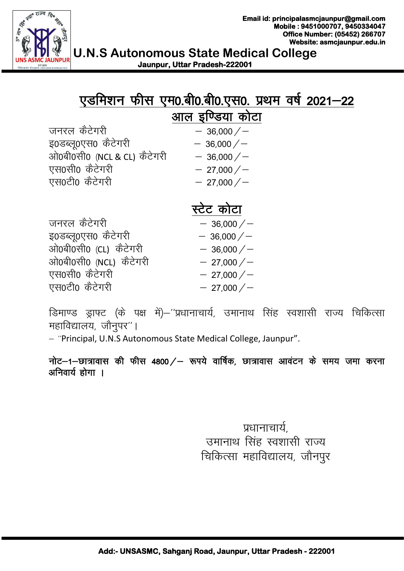

|                             | एडमिशन फीस एम0.बी0.बी0.एस0. प्रथम वर्ष 2021–22 |
|-----------------------------|------------------------------------------------|
|                             | आल इण्डिया कोटा                                |
| जनरल कैटेगरी                | $-36,000/$                                     |
| इ0डब्लू0एस0 कैटेगरी         | $-36,000/$                                     |
| ओ0बी0सी0 (NCL & CL) कैटेगरी | $-36,000/$                                     |
| एस0सी0 कैटेगरी              | $-27,000/$                                     |
| एस0टी0 कैटेगरी              | $-27,000/$                                     |

# स्टेट कोटा

|                        | 1717 - 172 |
|------------------------|------------|
| जनरल कैटेगरी           | $-36,000/$ |
| इ0डब्लू0एस0 कैटेगरी    | $-36,000/$ |
| ओ0बी0सी0 (CL) कैटेगरी  | $-36,000/$ |
| ओ0बी0सी0 (NCL) कैटेगरी | $-27,000/$ |
| एस0सी0 कैटेगरी         | $-27,000/$ |
| एस0टी0 कैटेगरी         | $-27,000/$ |

डिमाण्ड ड्राफ्ट (के पक्ष में)–''प्रधानाचार्य, उमानाथ सिंह स्वशासी राज्य चिकित्सा महाविद्यालय, जौनुपर"।

- "Principal, U.N.S Autonomous State Medical College, Jaunpur".

नोट-1-छात्रावास की फीस 4800 / - रूपये वार्षिक, छात्रावास आवंटन के समय जमा करना अनिवार्य होगा ।

> प्रधानाचार्य उमानाथ सिंह स्वशासी राज्य चिकित्सा महाविद्यालय, जौनपूर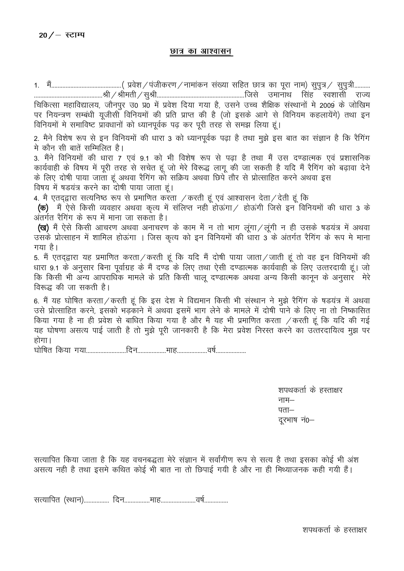#### छात्र का आश्वासन

चिकित्सा महाविद्यालय, जौनपुर उ0 प्र0 में प्रवेश दिया गया है, उसने उच्च शैक्षिक संस्थानों मे 2009 के जोखिम पर नियन्त्रण सम्बंधी यूजीसी विनियमों की प्रति प्राप्त की है (जो इसके आगे से विनियम कहलायेंगे) तथा इन विनियमों मे समाविष्ट प्रावधानों को ध्यानपूर्वक पढ कर पूरी तरह से समझ लिया हूं। 2. मैने विशेष रूप से इन विनियमों की धारा 3 को ध्यानपूर्वक पढ़ा है तथा मुझे इस बात का संज्ञान है कि रैगिंग मे कौन सी बातें सम्मिलित है। 3. मैंने विनियमों की धारा 7 एवं 9.1 को भी विशेष रूप से पढ़ा है तथा मैं उस दण्डात्मक एवं प्रशासनिक कार्यवाही के विषय में पूरी तरह से सचेत हूं जो मेरे विरूद्ध लागू की जा सकती है यदि मैं रैगिंग को बढ़ावा देने<br>के लिए दोषी पाया जाता हूं अथवा रैगिंग को सक्रिय अथवा छिपे तौर से प्रोत्साहित करने अथवा इस विषय में षडयंत्र करने का दोषी पाया जाता हूं। 4. मै एतद्द्वारा सत्यनिष्ठ रूप से प्रमाणित करता / करती हूं एवं आश्वासन देता/ देती हूं कि (क) मैं ऐसे किसी व्यवहार अथवा कृत्य में संलिप्त नहीं होऊंगा / होऊंगी जिसे इन विनियमों की धारा 3 के अंतर्गत रैगिंग के रूप में माना जा सकता है। (ख) मैं ऐसे किसी आचरण अथवा अनाचरण के काम में न तो भाग लगा / लगी न ही उसके षडयंत्र में अथवा उसके प्रोत्साहन में शामिल होऊंगा । जिस कृत्य को इन विनियमों की धारा 3 के अंतर्गत रैगिंग के रूप मे माना गया है। 5. मैं एतद्द्वारा यह प्रमाणित करता / करती हूं कि यदि मैं दोषी पाया जाता / जाती हूं तो वह इन विनियमों की धारा 9.1 के अनुसार बिना पूर्वाग्रह के मैं दण्ड के लिए तथा ऐसी दण्डात्मक कार्यवाही के लिए उत्तरदायी हूं। जो कि किसी भी अन्य आपराधिक मामले के प्रति किसी चाल दण्डात्मक अथवा अन्य किसी कानून के अनुसार सेरे विरूद्ध की जा सकती है। 6. मैं यह घोषित करता / करती हूं कि इस देश मे विद्यमान किसी भी संस्थान ने मुझे रैगिंग के षडयंत्र में अथवा उसे प्रोत्साहित करने, इसको भड़काने में अथवा इसमें भाग लेने के मामले में दोषी पाने के लिए ना तो निष्कासित किया गया है ना ही प्रवेश से बाधित किया गया है और मै यह भी प्रमाणित करता / करती हूं कि यदि की गई यह घोषणा असत्य पाई जाती है तो मुझे पूरी जानकारी है कि मेरा प्रवेश निरस्त करने का उत्तरदायित्व मुझ पर होगा। 

> शपथकर्ता के हस्ताक्षर नाम $-$ पता $-$ दूरभाष नं0-

सत्यापित किया जाता है कि यह वचनबद्धता मेरे संज्ञान में सर्वांगीण रूप से सत्य है तथा इसका कोई भी अंश असत्य नही है तथा इसमे कथित कोई भी बात ना तो छिपाई गयी है और ना ही मिथ्याजनक कही गयी हैं।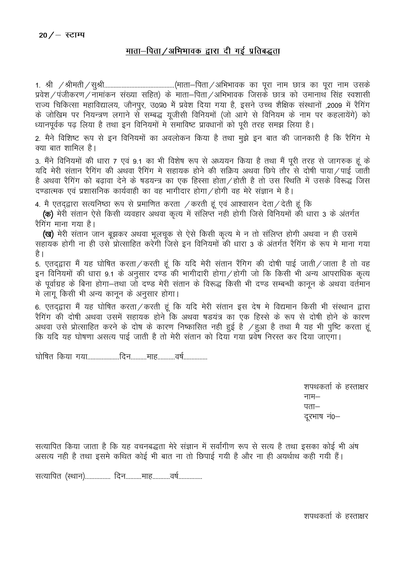## माता-पिता / अभिभावक द्वारा दी गई प्रतिबद्धता

प्रवेश / पंजीकरण / नामांकन संख्या सहित) के माता–पिता / अभिभावक जिसके छात्र को उमानाथ सिंह स्वशासी राज्य चिकित्सा महाविद्यालय, जौनपुर, उ0प्र0 में प्रवेश दिया गया है, इसने उच्च शैक्षिक संस्थानों ,2009 में रैगिंग के जोखिम पर नियन्त्रण लगाने से सम्बद्ध यूजीसी विनियमों (जो आगे से विनियम के नाम पर कहलायेंगे) को ध्यानपूर्वक पढ लिया है तथा इन विनियमों मे समाविष्ट प्रावधानों को पूरी तरह समझ लिया है।

2. मैने विशिष्ट रूप से इन विनियमों का अवलोकन किया है तथा मुझे इन बात की जानकारी है कि रैगिंग मे क्या बात शामिल है।

3. मैंने विनियमों की धारा 7 एवं 9.1 का भी विशेष रूप से अध्ययन किया है तथा मैं पूरी तरह से जागरुक हूं के यदि मेरी संतान रैगिंग की अथवा रैगिंग मे सहायक होने की सक्रिय अथवा छिपे तौर से दोषी पाया / पाई जाती है अथवा रैगिंग को बढ़ावा देने के षडयन्त्र का एक हिस्सा होता ⁄ होती है तो उस स्थिति में उसके विरूद्ध जिस दण्डात्मक एवं प्रशासनिक कार्यवाही का वह भागीदार होगा / होगी वह मेरे संज्ञान मे है।

4. मै एतद्द्वारा सत्यनिष्ठा रूप से प्रमाणित करता / करती हूं एवं आश्वासन देता/ देती हूं कि

(क) मेरी संतान ऐसे किसी व्यवहार अथवा कृत्य में संलिप्त नही होगी जिसे विनियमों की धारा 3 के अंतर्गत रैगिंग माना गया है।

**(ख)** मेरी संतान जान बुझकर अथवा भुलचुक से ऐसे किसी कृत्य मे न तो संलिप्त होगी अथवा न ही उसमें सहायक होगी ना ही उसे प्रोत्साहित करेंगी जिसे इन विनियमों की धारा 3 के अंतर्गत रैगिंग के रूप मे माना गया है ।

5. एतद्द्वारा मैं यह घोषित करता/करती हूं कि यदि मेरी संतान रैंगिग की दोषी पाई जाती/जाता है तो वह इन विनियमों की धारा 9.1 के अनुसार दण्ड की भागीदारी होगा/होगी जो कि किसी भी अन्य आपराधिक कृत्य के पूर्वाग्रह के बिना होगा—तथा जो दण्ड मेरी संतान के विरूद्ध किसी भी दण्ड सम्बन्धी कानून के अथवा वर्तमान मे लाग किसी भी अन्य कानून के अनुसार होगा।

6. एतद्द्वारा मैं यह घोषित करता / करती हूं कि यदि मेरी संतान इस देष मे विद्यमान किसी भी संस्थान द्वारा रैगिंग की दोषी अथवा उसमें सहायक होने कि अथवा षडयंत्र का एक हिस्से के रूप से दोषी होने के कारण अथवा उसे प्रोत्साहित करने के दोष के कारण निष्कासित नही हुई है /हुआ है तथा मै यह भी पुष्टि करता हूं कि यदि यह घोषणा असत्य पाई जाती है तो मेरी संतान को दिया गया प्रवेष निरस्त कर दिया जाएगा।

घोषित किया गया...................दिन..........माह............वर्ष................

शपथकर्ता के हस्ताक्षर नाम $45 -$ दरभाष नं0-

सत्यापित किया जाता है कि यह वचनबद्धता मेरे संज्ञान में सर्वांगीण रूप से सत्य है तथा इसका कोई भी अंष असत्य नही है तथा इसमे कथित कोई भी बात ना तो छिपाई गयी है और ना ही अयर्थाथ कही गयी हैं।

सत्यापित (स्थान)................. दिन..........माह............वर्ष................

शपथकर्ता के हस्ताक्षर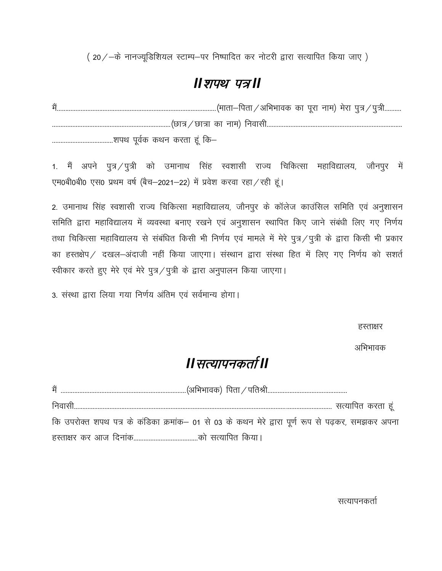$(20/-\dot{\sigma}$  नानज्यूडिशियल स्टाम्प-पर निष्पादित कर नोटरी द्वारा सत्यापित किया जाए)

## *II शपथ पत्र॥*

eSa----------------------------------------------------------------------------------------------¼ekrk&firk@vfHkHkkod dk iwjk uke½ esjk iq=@iq=h---------- ----------------------------------------------------------------------¼Nk=@Nk=k dk uke½ fuoklh-------------------------------------------------------------------------------- ------------------------------------'kiFk iwoZd dFku djrk gwa fd&

1. मैं अपने पुत्र /पुत्री को उमानाथ सिंह स्वशासी राज्य चिकित्सा महाविद्यालय, जौनपुर में एम0बी0बी0 एस0 प्रथम वर्ष (बैच-2021-22) में प्रवेश करवा रहा / रही हूं।

2. उमानाथ सिंह स्वशासी राज्य चिकित्सा महाविद्यालय, जौनपुर के कॉलेज काउंसिल समिति एवं अनुशासन समिति द्वारा महाविद्यालय में व्यवस्था बनाए रखने एवं अनुशासन स्थापित किए जाने संबंधी लिए गए निर्णय तथा चिकित्सा महाविद्यालय से संबंधित किसी भी निर्णय एवं मामले में मेरे पुत्र/पुत्री के द्वारा किसी भी प्रकार का हस्तक्षेप / दखल-अंदाजी नहीं किया जाएगा। संस्थान द्वारा संस्था हित में लिए गए निर्णय को सशर्त स्वीकार करते हुए मेरे एवं मेरे पुत्र/पुत्री के द्वारा अनुपालन किया जाएगा।

3. संस्था द्वारा लिया गया निर्णय अंतिम एवं सर्वमान्य होगा।

हस्ताक्षर

अभिभावक

# *II* सत्यापनकर्ता II

| कि उपरोक्त शपथ पत्र के कंडिका क्रमांक– 01 से 03 के कथन मेरे द्वारा पूर्ण रूप से पढ़कर, समझकर अपना |
|---------------------------------------------------------------------------------------------------|
|                                                                                                   |

सत्यापनकर्ता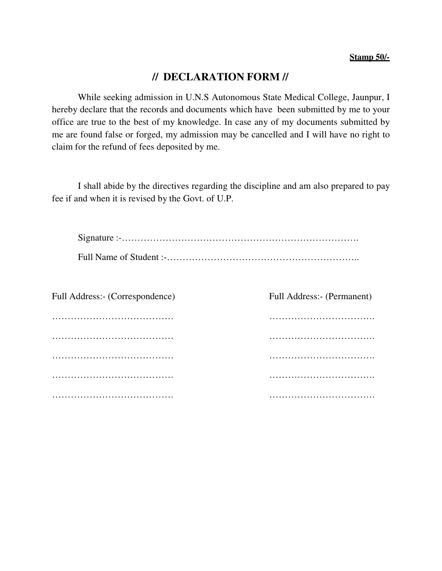#### **Stamp 50/-**

## **// DECLARATION FORM //**

While seeking admission in U.N.S Autonomous State Medical College, Jaunpur, I hereby declare that the records and documents which have been submitted by me to your office are true to the best of my knowledge. In case any of my documents submitted by me are found false or forged, my admission may be cancelled and I will have no right to claim for the refund of fees deposited by me.

I shall abide by the directives regarding the discipline and am also prepared to pay fee if and when it is revised by the Govt. of U.P.

| Full Address:- (Correspondence) | Full Address:- (Permanent) |
|---------------------------------|----------------------------|
|                                 |                            |
|                                 |                            |
|                                 |                            |
|                                 |                            |
|                                 |                            |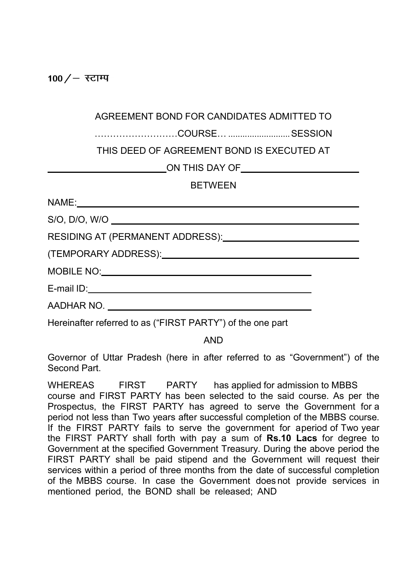100  $/$  – स्टाम्प

………………………COURSE… .......................... SESSION

THIS DEED OF AGREEMENT BOND IS EXECUTED AT

ON THIS DAY OF

## **BETWEEN**

Hereinafter referred to as ("FIRST PARTY") of the one part

AND

Governor of Uttar Pradesh (here in after referred to as "Government") of the Second Part.

WHEREAS FIRST PARTY has applied for admission to MBBS course and FIRST PARTY has been selected to the said course. As per the Prospectus, the FIRST PARTY has agreed to serve the Government for a period not less than Two years after successful completion of the MBBS course. If the FIRST PARTY fails to serve the government for aperiod of Two year the FIRST PARTY shall forth with pay a sum of Rs.10 Lacs for degree to Government at the specified Government Treasury. During the above period the FIRST PARTY shall be paid stipend and the Government will request their services within a period of three months from the date of successful completion of the MBBS course. In case the Government does not provide services in mentioned period, the BOND shall be released; AND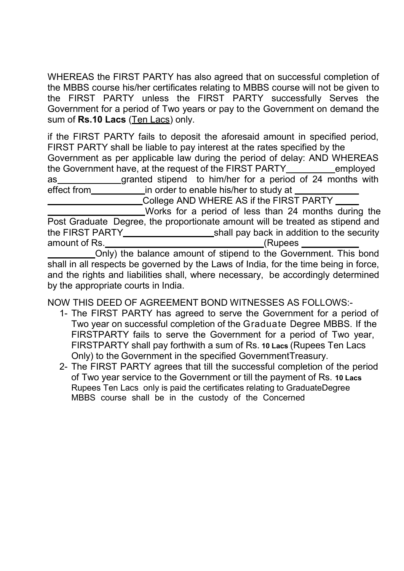WHEREAS the FIRST PARTY has also agreed that on successful completion of the MBBS course his/her certificates relating to MBBS course will not be given to the FIRST PARTY unless the FIRST PARTY successfully Serves the Government for a period of Two years or pay to the Government on demand the sum of Rs.10 Lacs (Ten Lacs) only.

if the FIRST PARTY fails to deposit the aforesaid amount in specified period, FIRST PARTY shall be liable to pay interest at the rates specified by the Government as per applicable law during the period of delay: AND WHEREAS the Government have, at the request of the FIRST PARTY\_\_\_\_\_\_\_\_\_employed as granted stipend to him/her for a period of 24 months with effect from in order to enable his/her to study at

 $\overline{\phantom{a}}$  College AND WHERE AS if the FIRST PARTY  $\overline{\phantom{a}}$ 

 Works for a period of less than 24 months during the Post Graduate Degree, the proportionate amount will be treated as stipend and the FIRST PARTY shall pay back in addition to the security amount of Rs. (Rupees

 Only) the balance amount of stipend to the Government. This bond shall in all respects be governed by the Laws of India, for the time being in force, and the rights and liabilities shall, where necessary, be accordingly determined by the appropriate courts in India.

NOW THIS DEED OF AGREEMENT BOND WITNESSES AS FOLLOWS:-

- 1- The FIRST PARTY has agreed to serve the Government for a period of Two year on successful completion of the Graduate Degree MBBS. If the FIRSTPARTY fails to serve the Government for a period of Two year, FIRSTPARTY shall pay forthwith a sum of Rs. 10 Lacs (Rupees Ten Lacs Only) to the Government in the specified Government Treasury.
- 2- The FIRST PARTY agrees that till the successful completion of the period of Two year service to the Government or till the payment of Rs. 10 Lacs Rupees Ten Lacs only is paid the certificates relating to Graduate Degree MBBS course shall be in the custody of the Concerned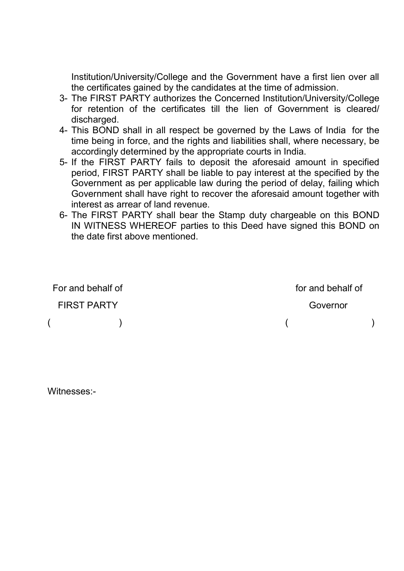Institution/University/College and the Government have a first lien over all the certificates gained by the candidates at the time of admission.

- 3- The FIRST PARTY authorizes the Concerned Institution/University/College for retention of the certificates till the lien of Government is cleared/ discharged.
- 4- This BOND shall in all respect be governed by the Laws of India for the time being in force, and the rights and liabilities shall, where necessary, be accordingly determined by the appropriate courts in India.
- 5- If the FIRST PARTY fails to deposit the aforesaid amount in specified period, FIRST PARTY shall be liable to pay interest at the specified by the Government as per applicable law during the period of delay, failing which Government shall have right to recover the aforesaid amount together with interest as arrear of land revenue.
- 6- The FIRST PARTY shall bear the Stamp duty chargeable on this BOND IN WITNESS WHEREOF parties to this Deed have signed this BOND on the date first above mentioned.

| For and behalf of |                    | for and behalf of |  |
|-------------------|--------------------|-------------------|--|
|                   | <b>FIRST PARTY</b> | Governor          |  |
|                   |                    |                   |  |

Witnesses:-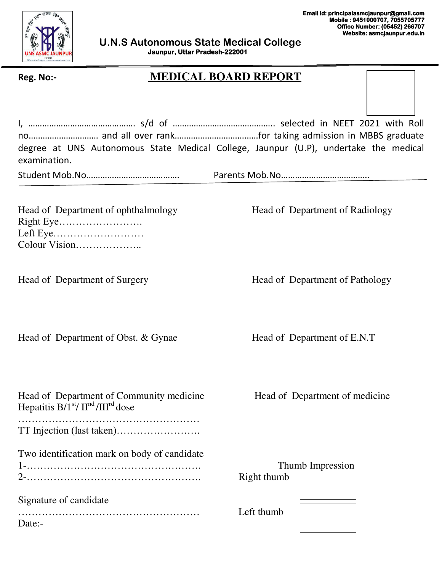

## **Reg. No:- MEDICAL BOARD REPORT**

|                                                                                        | degree at UNS Autonomous State Medical College, Jaunpur (U.P), undertake the medical |
|----------------------------------------------------------------------------------------|--------------------------------------------------------------------------------------|
| examination.                                                                           |                                                                                      |
|                                                                                        |                                                                                      |
|                                                                                        |                                                                                      |
|                                                                                        |                                                                                      |
| Head of Department of ophthalmology                                                    | Head of Department of Radiology                                                      |
|                                                                                        |                                                                                      |
| Left Eye<br>Colour Vision                                                              |                                                                                      |
|                                                                                        |                                                                                      |
|                                                                                        |                                                                                      |
| Head of Department of Surgery                                                          | Head of Department of Pathology                                                      |
|                                                                                        |                                                                                      |
|                                                                                        |                                                                                      |
|                                                                                        |                                                                                      |
| Head of Department of Obst. & Gynae                                                    | Head of Department of E.N.T                                                          |
|                                                                                        |                                                                                      |
|                                                                                        |                                                                                      |
|                                                                                        |                                                                                      |
|                                                                                        |                                                                                      |
| Head of Department of Community medicine<br>Hepatitis $B/I^{st}/II^{nd}/III^{rd}$ dose | Head of Department of medicine                                                       |
|                                                                                        |                                                                                      |
|                                                                                        |                                                                                      |
|                                                                                        |                                                                                      |
| Two identification mark on body of candidate                                           |                                                                                      |
|                                                                                        | Thumb Impression                                                                     |
|                                                                                        | Right thumb                                                                          |
| Signature of candidate                                                                 |                                                                                      |
|                                                                                        | Left thumb                                                                           |
| Date:-                                                                                 |                                                                                      |
|                                                                                        |                                                                                      |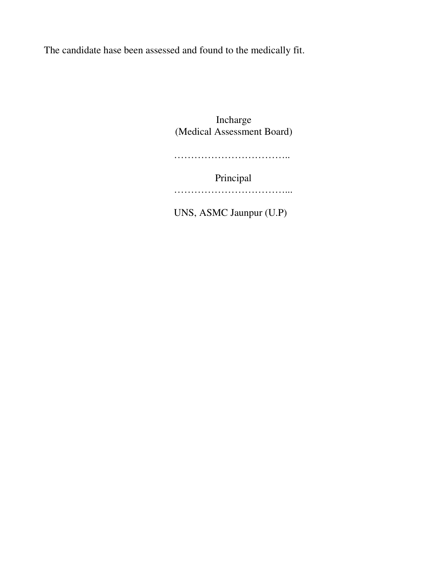The candidate hase been assessed and found to the medically fit.

Incharge (Medical Assessment Board)

…………………………………………

Principal

………………………………………

UNS, ASMC Jaunpur (U.P)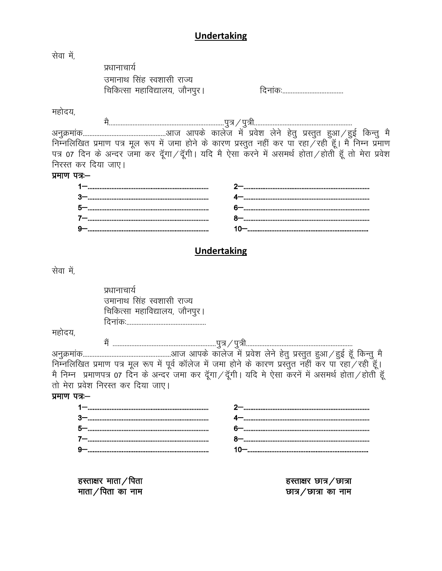## **Undertaking**

| सेवा में,           |                                                                                                        |                          |
|---------------------|--------------------------------------------------------------------------------------------------------|--------------------------|
|                     | प्रधानाचार्य                                                                                           |                          |
|                     | उमानाथ सिंह स्वशासी राज्य                                                                              |                          |
|                     | चिकित्सा महाविद्यालय, जौनपुर।                                                                          |                          |
|                     |                                                                                                        |                          |
| महोदय,              |                                                                                                        |                          |
|                     |                                                                                                        |                          |
|                     |                                                                                                        |                          |
|                     | निम्नलिखित प्रमाण पत्र मूल रूप में जमा होने के कारण प्रस्तुत नहीं कर पा रहा ⁄ रही हूँ। मै निम्न प्रमाण |                          |
|                     | पत्र 07 दिन के अन्दर जंमा कर दूँगा/दूँगी। यदि मै ऐसा करने में असमर्थ होता/होती हूँ तो मेरा प्रवेश      |                          |
| निरस्त कर दिया जाए। |                                                                                                        |                          |
| प्रमाण पत्र –       |                                                                                                        |                          |
|                     |                                                                                                        |                          |
|                     |                                                                                                        |                          |
|                     |                                                                                                        |                          |
|                     |                                                                                                        |                          |
|                     |                                                                                                        |                          |
|                     |                                                                                                        |                          |
|                     | <b>Undertaking</b>                                                                                     |                          |
| सेवा में,           |                                                                                                        |                          |
|                     |                                                                                                        |                          |
|                     | प्रधानाचार्य                                                                                           |                          |
|                     | उमानाथ सिंह स्वशासी राज्य                                                                              |                          |
|                     | चिकित्सा महाविद्यालय, जौनपुर।                                                                          |                          |
|                     |                                                                                                        |                          |
| महोदय,              |                                                                                                        |                          |
|                     |                                                                                                        |                          |
|                     |                                                                                                        |                          |
|                     | निम्नलिखित प्रमाण पत्र मूल रूप में पूर्व कॉलेज में जमा होने के कारण प्रस्तुत नहीं कर पा रहा ⁄ रही हूँ। |                          |
|                     | मै निम्न) प्रमाणपत्र 07 दिन के अन्दर जमा कर दूँगा/दूँगी। यदि मे ऐसा करनें में असमर्थ होता/होती हूँ     |                          |
|                     | तो मेरा प्रवेश निरस्त कर दिया जाए।                                                                     |                          |
| प्रमाण पत्रः–       |                                                                                                        |                          |
|                     |                                                                                                        |                          |
|                     |                                                                                                        |                          |
|                     |                                                                                                        |                          |
|                     |                                                                                                        |                          |
|                     |                                                                                                        |                          |
|                     |                                                                                                        |                          |
|                     |                                                                                                        |                          |
|                     | हस्ताक्षर माता $\angle$ पिता                                                                           | हस्ताक्षर छात्र / छात्रा |
|                     | माता / पिता का नाम                                                                                     | তান $/$ তানা কা নাদ      |
|                     |                                                                                                        |                          |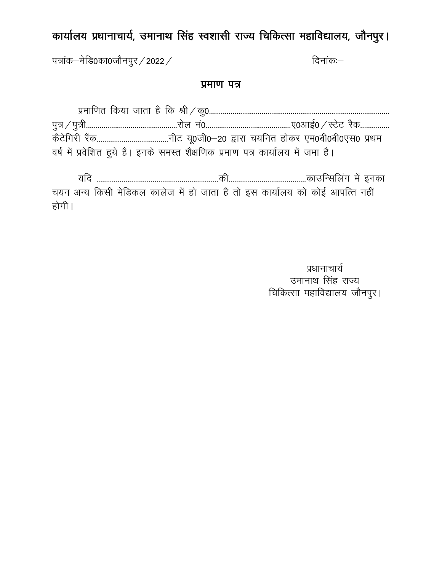# *dk;kZy; iz/kkukpk;Z] mekukFk flag Lo*"*kklh jkT; fpfdRlk egkfo|ky;] tkSuiqjA*

पत्रांक–मेडि0का0जौनपुर / 2022 */ i*ndepending and *foural frame*:

## *izek.k i=*

| वर्ष में प्रवेशित हुये है। इनके समस्त शैक्षणिक प्रमाण पत्र कार्यालय में जमा है। |  |
|---------------------------------------------------------------------------------|--|

 *;fn ---------------------------------------------------------------dh----------------------------------------dkmfUlfyax esa budk p;u vU; fdlh esfMdy dkyst esa gk s tkrk g S rk s bl dk;kZy; dk s dk sbZ vkifRr ugha*  होगी ।

> <u>प्रधानाचार्य</u> *उमानाथ सिंह राज्य चिकित्सा महाविद्यालय जौनपुर।*